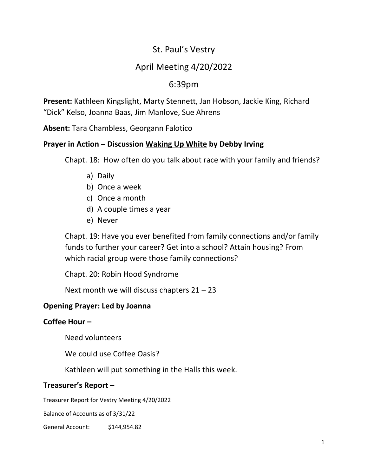# St. Paul's Vestry

# April Meeting 4/20/2022

# 6:39pm

**Present:** Kathleen Kingslight, Marty Stennett, Jan Hobson, Jackie King, Richard "Dick" Kelso, Joanna Baas, Jim Manlove, Sue Ahrens

**Absent:** Tara Chambless, Georgann Falotico

### **Prayer in Action – Discussion Waking Up White by Debby Irving**

Chapt. 18: How often do you talk about race with your family and friends?

- a) Daily
- b) Once a week
- c) Once a month
- d) A couple times a year
- e) Never

Chapt. 19: Have you ever benefited from family connections and/or family funds to further your career? Get into a school? Attain housing? From which racial group were those family connections?

Chapt. 20: Robin Hood Syndrome

Next month we will discuss chapters 21 – 23

## **Opening Prayer: Led by Joanna**

## **Coffee Hour –**

Need volunteers

We could use Coffee Oasis?

Kathleen will put something in the Halls this week.

## **Treasurer's Report –**

Treasurer Report for Vestry Meeting 4/20/2022

Balance of Accounts as of 3/31/22

General Account: \$144,954.82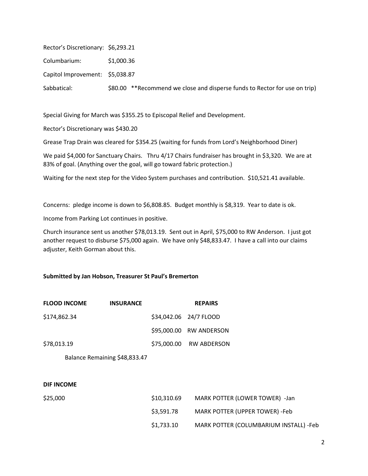| Rector's Discretionary: \$6,293.21 |            |
|------------------------------------|------------|
| Columbarium:                       | \$1,000.36 |
| Capitol Improvement: \$5,038.87    |            |

Sabbatical:  $$80.00$  \*\*Recommend we close and disperse funds to Rector for use on trip)

Special Giving for March was \$355.25 to Episcopal Relief and Development.

Rector's Discretionary was \$430.20

Grease Trap Drain was cleared for \$354.25 (waiting for funds from Lord's Neighborhood Diner)

We paid \$4,000 for Sanctuary Chairs. Thru 4/17 Chairs fundraiser has brought in \$3,320. We are at 83% of goal. (Anything over the goal, will go toward fabric protection.)

Waiting for the next step for the Video System purchases and contribution. \$10,521.41 available.

Concerns: pledge income is down to \$6,808.85. Budget monthly is \$8,319. Year to date is ok.

Income from Parking Lot continues in positive.

Church insurance sent us another \$78,013.19. Sent out in April, \$75,000 to RW Anderson. I just got another request to disburse \$75,000 again. We have only \$48,833.47. I have a call into our claims adjuster, Keith Gorman about this.

#### **Submitted by Jan Hobson, Treasurer St Paul's Bremerton**

| <b>FLOOD INCOME</b> | <b>INSURANCE</b>              |             | <b>REPAIRS</b>                         |
|---------------------|-------------------------------|-------------|----------------------------------------|
| \$174,862.34        |                               |             | \$34,042.06 24/7 FLOOD                 |
|                     |                               | \$95,000.00 | RW ANDERSON                            |
| \$78,013.19         |                               | \$75,000.00 | RW ABDERSON                            |
|                     | Balance Remaining \$48,833.47 |             |                                        |
|                     |                               |             |                                        |
| <b>DIF INCOME</b>   |                               |             |                                        |
| \$25,000            |                               | \$10,310.69 | MARK POTTER (LOWER TOWER) -Jan         |
|                     |                               | \$3,591.78  | MARK POTTER (UPPER TOWER) -Feb         |
|                     |                               | \$1,733.10  | MARK POTTER (COLUMBARIUM INSTALL) -Feb |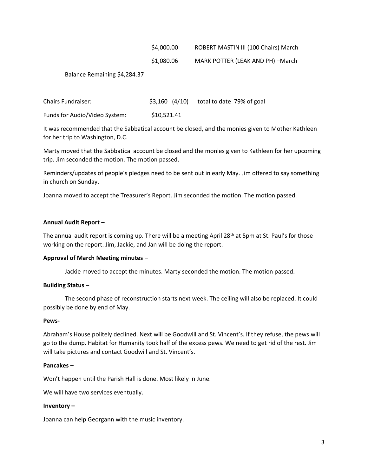#### \$4,000.00 ROBERT MASTIN III (100 Chairs) March

#### \$1,080.06 MARK POTTER (LEAK AND PH) –March

Balance Remaining \$4,284.37

Chairs Fundraiser: \$3,160 (4/10) total to date 79% of goal Funds for Audio/Video System: \$10,521.41

It was recommended that the Sabbatical account be closed, and the monies given to Mother Kathleen for her trip to Washington, D.C.

Marty moved that the Sabbatical account be closed and the monies given to Kathleen for her upcoming trip. Jim seconded the motion. The motion passed.

Reminders/updates of people's pledges need to be sent out in early May. Jim offered to say something in church on Sunday.

Joanna moved to accept the Treasurer's Report. Jim seconded the motion. The motion passed.

#### **Annual Audit Report –**

The annual audit report is coming up. There will be a meeting April 28<sup>th</sup> at 5pm at St. Paul's for those working on the report. Jim, Jackie, and Jan will be doing the report.

#### **Approval of March Meeting minutes –**

Jackie moved to accept the minutes. Marty seconded the motion. The motion passed.

#### **Building Status –**

The second phase of reconstruction starts next week. The ceiling will also be replaced. It could possibly be done by end of May.

#### **Pews-**

Abraham's House politely declined. Next will be Goodwill and St. Vincent's. If they refuse, the pews will go to the dump. Habitat for Humanity took half of the excess pews. We need to get rid of the rest. Jim will take pictures and contact Goodwill and St. Vincent's.

#### **Pancakes –**

Won't happen until the Parish Hall is done. Most likely in June.

We will have two services eventually.

#### **Inventory –**

Joanna can help Georgann with the music inventory.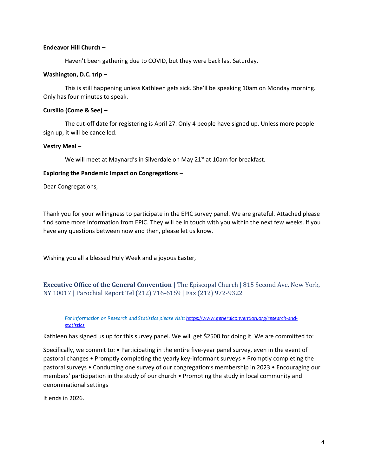#### **Endeavor Hill Church –**

Haven't been gathering due to COVID, but they were back last Saturday.

#### **Washington, D.C. trip –**

This is still happening unless Kathleen gets sick. She'll be speaking 10am on Monday morning. Only has four minutes to speak.

#### **Cursillo (Come & See) –**

The cut-off date for registering is April 27. Only 4 people have signed up. Unless more people sign up, it will be cancelled.

#### **Vestry Meal –**

We will meet at Maynard's in Silverdale on May 21<sup>st</sup> at 10am for breakfast.

#### **Exploring the Pandemic Impact on Congregations –**

Dear Congregations,

Thank you for your willingness to participate in the EPIC survey panel. We are grateful. Attached please find some more information from EPIC. They will be in touch with you within the next few weeks. If you have any questions between now and then, please let us know.

Wishing you all a blessed Holy Week and a joyous Easter,

### **Executive Office of the General Convention** | The Episcopal Church | 815 Second Ave. New York, NY 10017 | Parochial Report Tel (212) 716-6159 | Fax (212) 972-9322

*For information on Research and Statistics please visit: [https://www.generalconvention.org/research-and](https://www.generalconvention.org/research-and-statistics)[statistics](https://www.generalconvention.org/research-and-statistics)*

Kathleen has signed us up for this survey panel. We will get \$2500 for doing it. We are committed to:

Specifically, we commit to: • Participating in the entire five-year panel survey, even in the event of pastoral changes • Promptly completing the yearly key-informant surveys • Promptly completing the pastoral surveys • Conducting one survey of our congregation's membership in 2023 • Encouraging our members' participation in the study of our church • Promoting the study in local community and denominational settings

It ends in 2026.